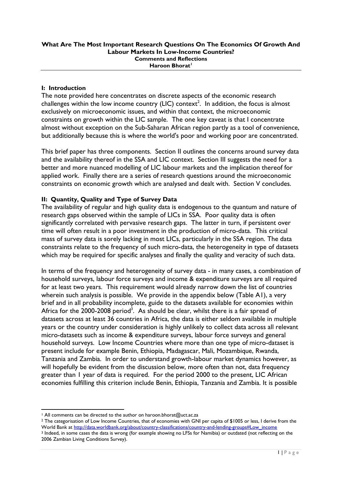## **I: Introduction**

The note provided here concentrates on discrete aspects of the economic research challenges within the low income country (LIC) context<sup>2</sup>. In addition, the focus is almost exclusively on microeconomic issues, and within that context, the microeconomic constraints on growth within the LIC sample. The one key caveat is that I concentrate almost without exception on the Sub-Saharan African region partly as a tool of convenience, but additionally because this is where the world's poor and working poor are concentrated.

This brief paper has three components. Section II outlines the concerns around survey data and the availability thereof in the SSA and LIC context. Section III suggests the need for a better and more nuanced modelling of LIC labour markets and the implication thereof for applied work. Finally there are a series of research questions around the microeconomic constraints on economic growth which are analysed and dealt with. Section V concludes.

# **II: Quantity, Quality and Type of Survey Data**

The availability of regular and high quality data is endogenous to the quantum and nature of research gaps observed within the sample of LICs in SSA. Poor quality data is often significantly correlated with pervasive research gaps. The latter in turn, if persistent over time will often result in a poor investment in the production of micro-data. This critical mass of survey data is sorely lacking in most LICs, particularly in the SSA region. The data constraints relate to the frequency of such micro-data, the heterogeneity in type of datasets which may be required for specific analyses and finally the quality and veracity of such data.

In terms of the frequency and heterogeneity of survey data - in many cases, a combination of household surveys, labour force surveys and income & expenditure surveys are all required for at least two years. This requirement would already narrow down the list of countries wherein such analysis is possible. We provide in the appendix below (Table A1), a very brief and in all probability incomplete, guide to the datasets available for economies within Africa for the  $2000$ - $2008$  period<sup>3</sup>. As should be clear, whilst there is a fair spread of datasets across at least 36 countries in Africa, the data is either seldom available in multiple years or the country under consideration is highly unlikely to collect data across all relevant micro-datasets such as income & expenditure surveys, labour force surveys and general household surveys. Low Income Countries where more than one type of micro-dataset is present include for example Benin, Ethiopia, Madagascar, Mali, Mozambique, Rwanda, Tanzania and Zambia. In order to understand growth-labour market dynamics however, as will hopefully be evident from the discussion below, more often than not, data frequency greater than 1 year of data is required. For the period 2000 to the present, LIC African economies fulfilling this criterion include Benin, Ethiopia, Tanzania and Zambia. It is possible

<sup>1</sup> <sup>1</sup> All comments can be directed to the author on haroon.bhorat@uct.ac.za

<sup>&</sup>lt;sup>2</sup> The categorisation of Low Income Countries, that of economies with GNI per capita of \$1005 or less, I derive from the World Bank at [http://data.worldbank.org/about/country-classifications/country-and-lending-groups#Low\\_income](http://data.worldbank.org/about/country-classifications/country-and-lending-groups#Low_income)

<sup>3</sup> Indeed, in some cases the data is wrong (for example showing no LFSs for Namibia) or outdated (not reflecting on the 2006 Zambian Living Conditions Survey).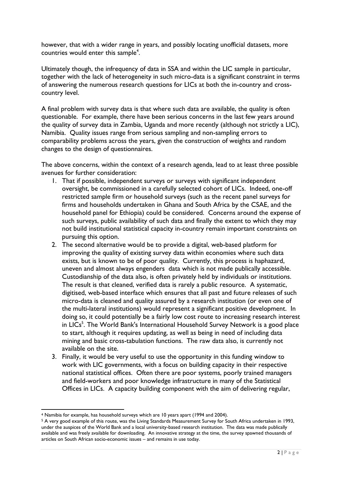however, that with a wider range in years, and possibly locating unofficial datasets, more countries would enter this sample<sup>4</sup>.

Ultimately though, the infrequency of data in SSA and within the LIC sample in particular, together with the lack of heterogeneity in such micro-data is a significant constraint in terms of answering the numerous research questions for LICs at both the in-country and crosscountry level.

A final problem with survey data is that where such data are available, the quality is often questionable. For example, there have been serious concerns in the last few years around the quality of survey data in Zambia, Uganda and more recently (although not strictly a LIC), Namibia. Quality issues range from serious sampling and non-sampling errors to comparability problems across the years, given the construction of weights and random changes to the design of questionnaires.

The above concerns, within the context of a research agenda, lead to at least three possible avenues for further consideration:

- 1. That if possible, independent surveys or surveys with significant independent oversight, be commissioned in a carefully selected cohort of LICs. Indeed, one-off restricted sample firm or household surveys (such as the recent panel surveys for firms and households undertaken in Ghana and South Africa by the CSAE, and the household panel for Ethiopia) could be considered. Concerns around the expense of such surveys, public availability of such data and finally the extent to which they may not build institutional statistical capacity in-country remain important constraints on pursuing this option.
- 2. The second alternative would be to provide a digital, web-based platform for improving the quality of existing survey data within economies where such data exists, but is known to be of poor quality. Currently, this process is haphazard, uneven and almost always engenders data which is not made publically accessible. Custodianship of the data also, is often privately held by individuals or institutions. The result is that cleaned, verified data is rarely a public resource. A systematic, digitised, web-based interface which ensures that all past and future releases of such micro-data is cleaned and quality assured by a research institution (or even one of the multi-lateral institutions) would represent a significant positive development. In doing so, it could potentially be a fairly low cost route to increasing research interest in LICs<sup>5</sup>. The World Bank's International Household Survey Network is a good place to start, although it requires updating, as well as being in need of including data mining and basic cross-tabulation functions. The raw data also, is currently not available on the site.
- 3. Finally, it would be very useful to use the opportunity in this funding window to work with LIC governments, with a focus on building capacity in their respective national statistical offices. Often there are poor systems, poorly trained managers and field-workers and poor knowledge infrastructure in many of the Statistical Offices in LICs. A capacity building component with the aim of delivering regular,

<sup>1</sup> <sup>4</sup> Namibia for example, has household surveys which are 10 years apart (1994 and 2004).

<sup>5</sup> A very good example of this route, was the Living Standards Measurement Survey for South Africa undertaken in 1993, under the auspices of the World Bank and a local university-based research institution. The data was made publically available and was freely available for downloading. An innovative strategy at the time, the survey spawned thousands of articles on South African socio-economic issues – and remains in use today.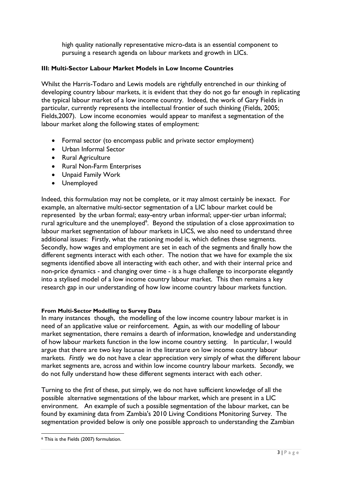high quality nationally representative micro-data is an essential component to pursuing a research agenda on labour markets and growth in LICs.

# **III: Multi-Sector Labour Market Models in Low Income Countries**

Whilst the Harris-Todaro and Lewis models are rightfully entrenched in our thinking of developing country labour markets, it is evident that they do not go far enough in replicating the typical labour market of a low income country. Indeed, the work of Gary Fields in particular, currently represents the intellectual frontier of such thinking (Fields, 2005; Fields,2007). Low income economies would appear to manifest a segmentation of the labour market along the following states of employment:

- Formal sector (to encompass public and private sector employment)
- Urban Informal Sector
- Rural Agriculture
- Rural Non-Farm Enterprises
- Unpaid Family Work
- Unemployed

Indeed, this formulation may not be complete, or it may almost certainly be inexact. For example, an alternative multi-sector segmentation of a LIC labour market could be represented by the urban formal; easy-entry urban informal; upper-tier urban informal; rural agriculture and the unemployed<sup>6</sup>. Beyond the stipulation of a close approximation to labour market segmentation of labour markets in LICS, we also need to understand three additional issues: Firstly, what the rationing model is, which defines these segments. Secondly, how wages and employment are set in each of the segments and finally how the different segments interact with each other. The notion that we have for example the six segments identified above all interacting with each other, and with their internal price and non-price dynamics - and changing over time - is a huge challenge to incorporate elegantly into a stylised model of a low income country labour market. This then remains a key research gap in our understanding of how low income country labour markets function.

### **From Multi-Sector Modelling to Survey Data**

In many instances though, the modelling of the low income country labour market is in need of an applicative value or reinforcement. Again, as with our modelling of labour market segmentation, there remains a dearth of information, knowledge and understanding of how labour markets function in the low income country setting. In particular, I would argue that there are two key lacunae in the literature on low income country labour markets. *Firstly* we do not have a clear appreciation very simply of what the different labour market segments are, across and within low income country labour markets. *Secondly*, we do not fully understand how these different segments interact with each other.

Turning to the *first* of these, put simply, we do not have sufficient knowledge of all the possible alternative segmentations of the labour market, which are present in a LIC environment. An example of such a possible segmentation of the labour market, can be found by examining data from Zambia's 2010 Living Conditions Monitoring Survey. The segmentation provided below is only one possible approach to understanding the Zambian

 $\overline{a}$ <sup>6</sup> This is the Fields (2007) formulation.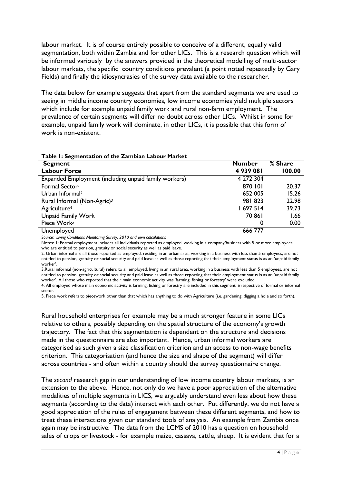labour market. It is of course entirely possible to conceive of a different, equally valid segmentation, both within Zambia and for other LICs. This is a research question which will be informed variously by the answers provided in the theoretical modelling of multi-sector labour markets, the specific country conditions prevalent (a point noted repeatedly by Gary Fields) and finally the idiosyncrasies of the survey data available to the researcher.

The data below for example suggests that apart from the standard segments we are used to seeing in middle income country economies, low income economies yield multiple sectors which include for example unpaid family work and rural non-farm employment. The prevalence of certain segments will differ no doubt across other LICs. Whilst in some for example, unpaid family work will dominate, in other LICs, it is possible that this form of work is non-existent.

| Table I: Segmentation of the Zambian Labour Market |
|----------------------------------------------------|
|----------------------------------------------------|

| <b>Segment</b>                                        | <b>Number</b> | % Share |
|-------------------------------------------------------|---------------|---------|
| <b>Labour Force</b>                                   | 4939081       | 100.00  |
| Expanded Employment (including unpaid family workers) | 4 272 304     |         |
| Formal Sector <sup>1</sup>                            | 870 101       | 20.37   |
| Urban Informal <sup>2</sup>                           | 652 005       | 15.26   |
| Rural Informal (Non-Agric) <sup>3</sup>               | 981823        | 22.98   |
| Agriculture <sup>4</sup>                              | 697 514       | 39.73   |
| <b>Unpaid Family Work</b>                             | 70 861        | 1.66    |
| Piece Work <sup>5</sup>                               | 0             | 0.00    |
| Unemployed                                            | 666 777       |         |

*Source: Living Conditions Monitoring Survey, 2010 and own calculations*

Notes: 1: Formal employment includes all individuals reported as employed, working in a company/business with 5 or more employees, who are entitled to pension, gratuity or social security as well as paid leave.

2. Urban informal are all those reported as employed, residing in an urban area, working in a business with less than 5 employees, are not entitled to pension, gratuity or social security and paid leave as well as those reporting that their employment status is as an 'unpaid family worker'.

3.Rural informal (non-agricultural) refers to all employed, living in an rural area, working in a business with less than 5 employees, are not entitled to pension, gratuity or social security and paid leave as well as those reporting that their employment status is as an 'unpaid family worker'. All those who reported that their main economic activity was 'farming, fishing or forestry' were excluded.

4. All employed whose main economic activity is farming, fishing or forestry are included in this segment, irrespective of formal or informal sector.

5. Piece work refers to piecework other than that which has anything to do with Agriculture (i.e. gardening, digging a hole and so forth).

Rural household enterprises for example may be a much stronger feature in some LICs relative to others, possibly depending on the spatial structure of the economy's growth trajectory. The fact that this segmentation is dependent on the structure and decisions made in the questionnaire are also important. Hence, urban informal workers are categorised as such given a size classification criterion and an access to non-wage benefits criterion. This categorisation (and hence the size and shape of the segment) will differ across countries - and often within a country should the survey questionnaire change.

The *second* research gap in our understanding of low income country labour markets, is an extension to the above. Hence, not only do we have a poor appreciation of the alternative modalities of multiple segments in LICS, we arguably understand even less about how these segments (according to the data) interact with each other. Put differently, we do not have a good appreciation of the rules of engagement between these different segments, and how to treat these interactions given our standard tools of analysis. An example from Zambia once again may be instructive: The data from the LCMS of 2010 has a question on household sales of crops or livestock - for example maize, cassava, cattle, sheep. It is evident that for a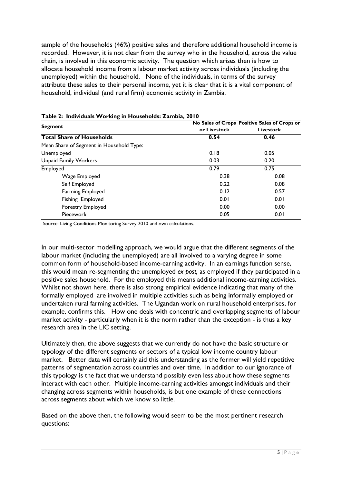sample of the households (46%) positive sales and therefore additional household income is recorded. However, it is not clear from the survey who in the household, across the value chain, is involved in this economic activity. The question which arises then is how to allocate household income from a labour market activity across individuals (including the unemployed) within the household. None of the individuals, in terms of the survey attribute these sales to their personal income, yet it is clear that it is a vital component of household, individual (and rural firm) economic activity in Zambia.

|                                          | No Sales of Crops Positive Sales of Crops or |                  |  |  |
|------------------------------------------|----------------------------------------------|------------------|--|--|
| <b>Segment</b>                           | or Livestock                                 | <b>Livestock</b> |  |  |
| <b>Total Share of Households</b>         | 0.54                                         | 0.46             |  |  |
| Mean Share of Segment in Household Type: |                                              |                  |  |  |
| Unemployed                               | 0.18                                         | 0.05             |  |  |
| <b>Unpaid Family Workers</b>             | 0.03                                         | 0.20             |  |  |
| Employed                                 | 0.79                                         | 0.75             |  |  |
| Wage Employed                            | 0.38                                         | 0.08             |  |  |
| Self Employed                            | 0.22                                         | 0.08             |  |  |
| Farming Employed                         | 0.12                                         | 0.57             |  |  |
| Fishing Employed                         | 0.01                                         | 0.01             |  |  |
| Forestry Employed                        | 0.00                                         | 0.00             |  |  |
| Piecework                                | 0.05                                         | 0.01             |  |  |

#### **Table 2: Individuals Working in Households: Zambia, 2010**

Source: Living Conditions Monitoring Survey 2010 and own calculations.

In our multi-sector modelling approach, we would argue that the different segments of the labour market (including the unemployed) are all involved to a varying degree in some common form of household-based income-earning activity. In an earnings function sense, this would mean re-segmenting the unemployed *ex post,* as employed if they participated in a positive sales household. For the employed this means additional income-earning activities. Whilst not shown here, there is also strong empirical evidence indicating that many of the formally employed are involved in multiple activities such as being informally employed or undertaken rural farming activities. The Ugandan work on rural household enterprises, for example, confirms this. How one deals with concentric and overlapping segments of labour market activity - particularly when it is the norm rather than the exception - is thus a key research area in the LIC setting.

Ultimately then, the above suggests that we currently do not have the basic structure or typology of the different segments or sectors of a typical low income country labour market. Better data will certainly aid this understanding as the former will yield repetitive patterns of segmentation across countries and over time. In addition to our ignorance of this typology is the fact that we understand possibly even less about how these segments interact with each other. Multiple income-earning activities amongst individuals and their changing across segments within households, is but one example of these connections across segments about which we know so little.

Based on the above then, the following would seem to be the most pertinent research questions: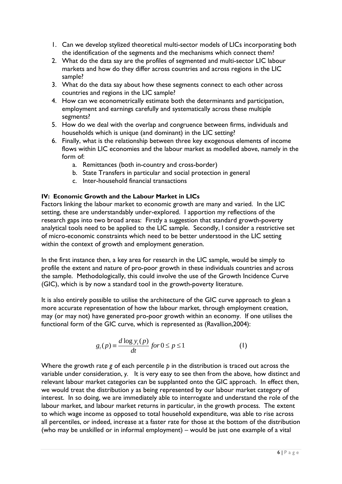- 1. Can we develop stylized theoretical multi-sector models of LICs incorporating both the identification of the segments and the mechanisms which connect them?
- 2. What do the data say are the profiles of segmented and multi-sector LIC labour markets and how do they differ across countries and across regions in the LIC sample?
- 3. What do the data say about how these segments connect to each other across countries and regions in the LIC sample?
- 4. How can we econometrically estimate both the determinants and participation, employment and earnings carefully and systematically across these multiple segments?
- 5. How do we deal with the overlap and congruence between firms, individuals and households which is unique (and dominant) in the LIC setting?
- 6. Finally, what is the relationship between three key exogenous elements of income flows within LIC economies and the labour market as modelled above, namely in the form of:
	- a. Remittances (both in-country and cross-border)
	- b. State Transfers in particular and social protection in general
	- c. Inter-household financial transactions

# **IV: Economic Growth and the Labour Market in LICs**

Factors linking the labour market to economic growth are many and varied. In the LIC setting, these are understandably under-explored. I apportion my reflections of the research gaps into two broad areas: Firstly a suggestion that standard growth-poverty analytical tools need to be applied to the LIC sample. Secondly, I consider a restrictive set of micro-economic constraints which need to be better understood in the LIC setting within the context of growth and employment generation.

In the first instance then, a key area for research in the LIC sample, would be simply to profile the extent and nature of pro-poor growth in these individuals countries and across the sample. Methodologically, this could involve the use of the Growth Incidence Curve (GIC), which is by now a standard tool in the growth-poverty literature.

It is also entirely possible to utilise the architecture of the GIC curve approach to glean a more accurate representation of how the labour market, through employment creation, may (or may not) have generated pro-poor growth within an economy. If one utilises the functional form of the GIC curve, which is represented as (Ravallion,2004):

$$
g_t(p) \equiv \frac{d \log y_t(p)}{dt} \text{ for } 0 \le p \le 1
$$
 (1)

Where the growth rate *g* of each percentile *p* in the distribution is traced out across the variable under consideration, *y.* It is very easy to see then from the above, how distinct and relevant labour market categories can be supplanted onto the GIC approach. In effect then, we would treat the distribution *y* as being represented by our labour market category of interest. In so doing, we are immediately able to interrogate and understand the role of the labour market, and labour market returns in particular, in the growth process. The extent to which wage income as opposed to total household expenditure, was able to rise across all percentiles, or indeed, increase at a faster rate for those at the bottom of the distribution (who may be unskilled or in informal employment) – would be just one example of a vital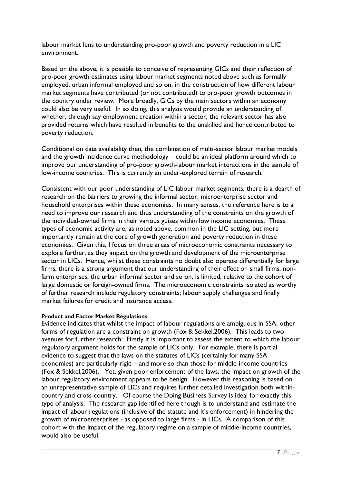labour market lens to understanding pro-poor growth and poverty reduction in a LIC environment.

Based on the above, it is possible to conceive of representing GICs and their reflection of pro-poor growth estimates using labour market segments noted above such as formally employed, urban informal employed and so on, in the construction of how different labour market segments have contributed (or not contributed) to pro-poor growth outcomes in the country under review. More broadly, GICs by the main sectors within an economy could also be very useful. In so doing, this analysis would provide an understanding of whether, through say employment creation within a sector, the relevant sector has also provided returns which have resulted in benefits to the unskilled and hence contributed to poverty reduction.

Conditional on data availability then, the combination of multi-sector labour market models and the growth incidence curve methodology – could be an ideal platform around which to improve our understanding of pro-poor growth-labour market interactions in the sample of low-income countries. This is currently an under-explored terrain of research.

Consistent with our poor understanding of LIC labour market segments, there is a dearth of research on the barriers to growing the informal sector, microenterprise sector and household enterprises within these economies. In many senses, the reference here is to a need to improve our research and thus understanding of the constraints on the growth of the individual-owned firms in their various guises within low income economies. These types of economic activity are, as noted above, common in the LIC setting, but more importantly remain at the core of growth generation and poverty reduction in these economies. Given this, I focus on three areas of microeconomic constraints necessary to explore further, as they impact on the growth and development of the microenterprise sector in LICs. Hence, whilst these constraints no doubt also operate differentially for large firms, there is a strong argument that our understanding of their effect on small firms, nonfarm enterprises, the urban informal sector and so on, is limited, relative to the cohort of large domestic or foreign-owned firms. The microeconomic constraints isolated as worthy of further research include regulatory constraints; labour supply challenges and finally market failures for credit and insurance access.

### **Product and Factor Market Regulations**

Evidence indicates that whilst the impact of labour regulations are ambiguous in SSA, other forms of regulation are a constraint on growth (Fox & Sekkel,2006). This leads to two avenues for further research: Firstly it is important to assess the extent to which the labour regulatory argument holds for the sample of LICs only. For example, there is partial evidence to suggest that the laws on the statutes of LICs (certainly for many SSA economies) are particularly rigid – and more so than those for middle-income countries (Fox & Sekkel,2006). Yet, given poor enforcement of the laws, the impact on growth of the labour regulatory environment appears to be benign. However this reasoning is based on an unrepresentative sample of LICs and requires further detailed investigation both withincountry and cross-country. Of course the Doing Business Survey is ideal for exactly this type of analysis. The research gap identified here though is to understand and estimate the impact of labour regulations (inclusive of the statute and it's enforcement) in hindering the growth of microenterprises - as opposed to large firms - in LICs. A comparison of this cohort with the impact of the regulatory regime on a sample of middle-income countries, would also be useful.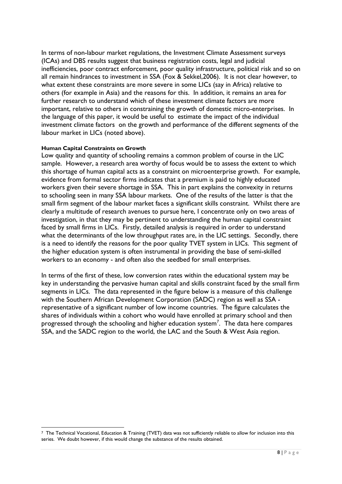In terms of non-labour market regulations, the Investment Climate Assessment surveys (ICAs) and DBS results suggest that business registration costs, legal and judicial inefficiencies, poor contract enforcement, poor quality infrastructure, political risk and so on all remain hindrances to investment in SSA (Fox & Sekkel,2006). It is not clear however, to what extent these constraints are more severe in some LICs (say in Africa) relative to others (for example in Asia) and the reasons for this. In addition, it remains an area for further research to understand which of these investment climate factors are more important, relative to others in constraining the growth of domestic micro-enterprises. In the language of this paper, it would be useful to estimate the impact of the individual investment climate factors on the growth and performance of the different segments of the labour market in LICs (noted above).

#### **Human Capital Constraints on Growth**

Low quality and quantity of schooling remains a common problem of course in the LIC sample. However, a research area worthy of focus would be to assess the extent to which this shortage of human capital acts as a constraint on microenterprise growth. For example, evidence from formal sector firms indicates that a premium is paid to highly educated workers given their severe shortage in SSA. This in part explains the convexity in returns to schooling seen in many SSA labour markets. One of the results of the latter is that the small firm segment of the labour market faces a significant skills constraint. Whilst there are clearly a multitude of research avenues to pursue here, I concentrate only on two areas of investigation, in that they may be pertinent to understanding the human capital constraint faced by small firms in LICs. Firstly, detailed analysis is required in order to understand what the determinants of the low throughput rates are, in the LIC settings. Secondly, there is a need to identify the reasons for the poor quality TVET system in LICs. This segment of the higher education system is often instrumental in providing the base of semi-skilled workers to an economy - and often also the seedbed for small enterprises.

In terms of the first of these, low conversion rates within the educational system may be key in understanding the pervasive human capital and skills constraint faced by the small firm segments in LICs. The data represented in the figure below is a measure of this challenge with the Southern African Development Corporation (SADC) region as well as SSA representative of a significant number of low income countries. The figure calculates the shares of individuals within a cohort who would have enrolled at primary school and then progressed through the schooling and higher education system<sup>7</sup>. The data here compares SSA, and the SADC region to the world, the LAC and the South & West Asia region.

**<sup>.</sup>** <sup>7</sup> The Technical Vocational, Education & Training (TVET) data was not sufficiently reliable to allow for inclusion into this series. We doubt however, if this would change the substance of the results obtained.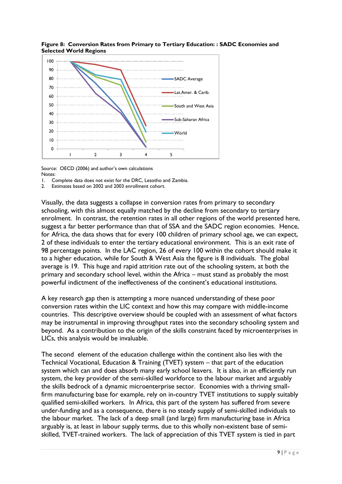

**Figure 8: Conversion Rates from Primary to Tertiary Education: : SADC Economies and Selected World Regions**

Source: OECD (2006) and author's own calculations Notes:

1. Complete data does not exist for the DRC, Lesotho and Zambia.

2. Estimates based on 2002 and 2003 enrollment cohort.

Visually, the data suggests a collapse in conversion rates from primary to secondary schooling, with this almost equally matched by the decline from secondary to tertiary enrolment. In contrast, the retention rates in all other regions of the world presented here, suggest a far better performance than that of SSA and the SADC region economies. Hence, for Africa, the data shows that for every 100 children of primary school age, we can expect, 2 of these individuals to enter the tertiary educational environment. This is an exit rate of 98 percentage points. In the LAC region, 26 of every 100 within the cohort should make it to a higher education, while for South & West Asia the figure is 8 individuals. The global average is 19. This huge and rapid attrition rate out of the schooling system, at both the primary and secondary school level, within the Africa – must stand as probably the most powerful indictment of the ineffectiveness of the continent's educational institutions.

A key research gap then is attempting a more nuanced understanding of these poor conversion rates within the LIC context and how this may compare with middle-income countries. This descriptive overview should be coupled with an assessment of what factors may be instrumental in improving throughput rates into the secondary schooling system and beyond. As a contribution to the origin of the skills constraint faced by microenterprises in LICs, this analysis would be invaluable.

The second element of the education challenge within the continent also lies with the Technical Vocational, Education & Training (TVET) system – that part of the education system which can and does absorb many early school leavers. It is also, in an efficiently run system, the key provider of the semi-skilled workforce to the labour market and arguably the skills bedrock of a dynamic microenterprise sector. Economies with a thriving smallfirm manufacturing base for example, rely on in-country TVET institutions to supply suitably qualified semi-skilled workers. In Africa, this part of the system has suffered from severe under-funding and as a consequence, there is no steady supply of semi-skilled individuals to the labour market. The lack of a deep small (and large) firm manufacturing base in Africa arguably is, at least in labour supply terms, due to this wholly non-existent base of semiskilled, TVET-trained workers. The lack of appreciation of this TVET system is tied in part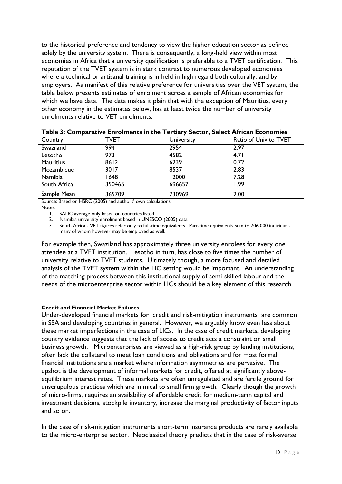to the historical preference and tendency to view the higher education sector as defined solely by the university system. There is consequently, a long-held view within most economies in Africa that a university qualification is preferable to a TVET certification. This reputation of the TVET system is in stark contrast to numerous developed economies where a technical or artisanal training is in held in high regard both culturally, and by employers. As manifest of this relative preference for universities over the VET system, the table below presents estimates of enrolment across a sample of African economies for which we have data. The data makes it plain that with the exception of Mauritius, every other economy in the estimates below, has at least twice the number of university enrolments relative to VET enrolments.

| Country          | <b>TVET</b> | University | Ratio of Univ to TVET |  |
|------------------|-------------|------------|-----------------------|--|
| Swaziland        | 994         | 2954       | 2.97                  |  |
| Lesotho          | 973         | 4582       | 4.71                  |  |
| <b>Mauritius</b> | 8612        | 6239       | 0.72                  |  |
| Mozambique       | 3017        | 8537       | 2.83                  |  |
| Namibia          | 1648        | 12000      | 7.28                  |  |
| South Africa     | 350465      | 696657     | 1.99                  |  |
| Sample Mean      | 365709      | 730969     | 2.00                  |  |

#### **Table 3: Comparative Enrolments in the Tertiary Sector, Select African Economies**

Source: Based on HSRC (2005) and authors' own calculations

Notes:

1. SADC average only based on countries listed

2. Namibia university enrolment based in UNESCO (2005) data

3. South Africa's VET figures refer only to full-time equivalents. Part-time equivalents sum to 706 000 individuals, many of whom however may be employed as well.

For example then, Swaziland has approximately three university enrolees for every one attendee at a TVET institution. Lesotho in turn, has close to five times the number of university relative to TVET students. Ultimately though, a more focused and detailed analysis of the TVET system within the LIC setting would be important. An understanding of the matching process between this institutional supply of semi-skilled labour and the needs of the microenterprise sector within LICs should be a key element of this research.

#### **Credit and Financial Market Failures**

Under-developed financial markets for credit and risk-mitigation instruments are common in SSA and developing countries in general. However, we arguably know even less about these market imperfections in the case of LICs. In the case of credit markets, developing country evidence suggests that the lack of access to credit acts a constraint on small business growth. Microenterprises are viewed as a high-risk group by lending institutions, often lack the collateral to meet loan conditions and obligations and for most formal financial institutions are a market where information asymmetries are pervasive. The upshot is the development of informal markets for credit, offered at significantly aboveequilibrium interest rates. These markets are often unregulated and are fertile ground for unscrupulous practices which are inimical to small firm growth. Clearly though the growth of micro-firms, requires an availability of affordable credit for medium-term capital and investment decisions, stockpile inventory, increase the marginal productivity of factor inputs and so on.

In the case of risk-mitigation instruments short-term insurance products are rarely available to the micro-enterprise sector. Neoclassical theory predicts that in the case of risk-averse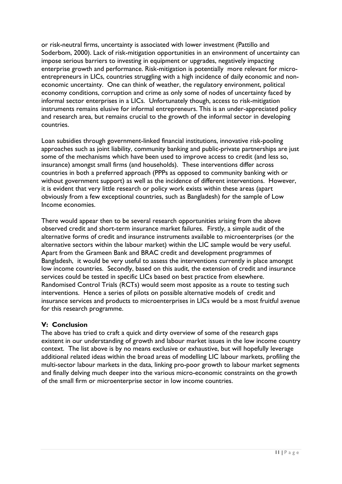or risk-neutral firms, uncertainty is associated with lower investment (Pattillo and Soderbom, 2000). Lack of risk-mitigation opportunities in an environment of uncertainty can impose serious barriers to investing in equipment or upgrades, negatively impacting enterprise growth and performance. Risk-mitigation is potentially more relevant for microentrepreneurs in LICs, countries struggling with a high incidence of daily economic and noneconomic uncertainty. One can think of weather, the regulatory environment, political economy conditions, corruption and crime as only some of nodes of uncertainty faced by informal sector enterprises in a LICs. Unfortunately though, access to risk-mitigation instruments remains elusive for informal entrepreneurs. This is an under-appreciated policy and research area, but remains crucial to the growth of the informal sector in developing countries.

Loan subsidies through government-linked financial institutions, innovative risk-pooling approaches such as joint liability, community banking and public-private partnerships are just some of the mechanisms which have been used to improve access to credit (and less so, insurance) amongst small firms (and households). These interventions differ across countries in both a preferred approach (PPPs as opposed to community banking with or without government support) as well as the incidence of different interventions. However, it is evident that very little research or policy work exists within these areas (apart obviously from a few exceptional countries, such as Bangladesh) for the sample of Low Income economies.

There would appear then to be several research opportunities arising from the above observed credit and short-term insurance market failures. Firstly, a simple audit of the alternative forms of credit and insurance instruments available to microenterprises (or the alternative sectors within the labour market) within the LIC sample would be very useful. Apart from the Grameen Bank and BRAC credit and development programmes of Bangladesh, it would be very useful to assess the interventions currently in place amongst low income countries. Secondly, based on this audit, the extension of credit and insurance services could be tested in specific LICs based on best practice from elsewhere. Randomised Control Trials (RCTs) would seem most apposite as a route to testing such interventions. Hence a series of pilots on possible alternative models of credit and insurance services and products to microenterprises in LICs would be a most fruitful avenue for this research programme.

# **V: Conclusion**

The above has tried to craft a quick and dirty overview of some of the research gaps existent in our understanding of growth and labour market issues in the low income country context. The list above is by no means exclusive or exhaustive, but will hopefully leverage additional related ideas within the broad areas of modelling LIC labour markets, profiling the multi-sector labour markets in the data, linking pro-poor growth to labour market segments and finally delving much deeper into the various micro-economic constraints on the growth of the small firm or microenterprise sector in low income countries.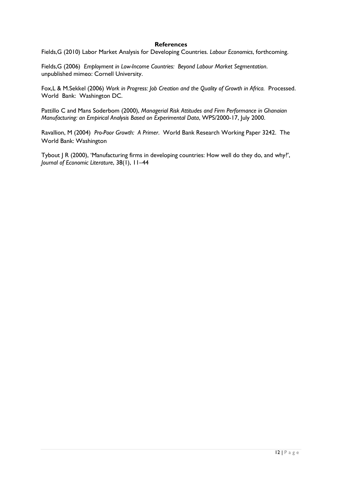#### **References**

Fields,G (2010) Labor Market Analysis for Developing Countries. *Labour Economics*, forthcoming.

Fields,G (2006) *Employment in Low-Income Countries: Beyond Labour Market Segmentation*. unpublished mimeo: Cornell University.

Fox,L & M.Sekkel (2006) *Work in Progress: Job Creation and the Quality of Growth in Africa.* Processed. World Bank: Washington DC.

Pattillo C and Mans Soderbom (2000), *Managerial Risk Attitudes and Firm Performance in Ghanaian Manufacturing: an Empirical Analysis Based on Experimental Data*, WPS/2000-17, July 2000.

Ravallion, M (2004) *Pro-Poor Growth: A Primer*. World Bank Research Working Paper 3242. The World Bank: Washington

Tybout J R (2000), 'Manufacturing firms in developing countries: How well do they do, and why?', *Journal of Economic Literature*, 38(1), 11–44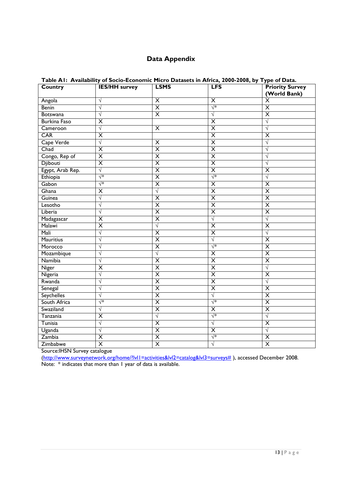# **Data Appendix**

| Table AT: Availability of Socio-Economic Micro Datasets in Africa, 2000-2008, by Type of Data. |                         |                         |                         |                                        |  |
|------------------------------------------------------------------------------------------------|-------------------------|-------------------------|-------------------------|----------------------------------------|--|
| Country                                                                                        | <b>IES/HH survey</b>    | <b>LSMS</b>             | <b>LFS</b>              | <b>Priority Survey</b><br>(World Bank) |  |
| Angola                                                                                         | $\sqrt{ }$              | $\overline{\mathsf{x}}$ | X                       | $\overline{\mathsf{x}}$                |  |
| Benin                                                                                          | $\sqrt{}$               | $\overline{\mathsf{x}}$ | $\sqrt{*}$              | $\overline{\mathsf{x}}$                |  |
| <b>Botswana</b>                                                                                | $\sqrt{}$               | $\overline{\mathsf{x}}$ | $\sqrt{}$               | $\overline{\mathsf{x}}$                |  |
| <b>Burkina Faso</b>                                                                            | $\overline{\mathsf{x}}$ |                         | $\overline{\mathsf{x}}$ | $\sqrt{}$                              |  |
| Cameroon                                                                                       | $\sqrt{}$               | $\overline{\mathsf{x}}$ | $\overline{\mathsf{x}}$ | $\sqrt{ }$                             |  |
| <b>CAR</b>                                                                                     | $\overline{\mathsf{x}}$ |                         | $\overline{\mathsf{x}}$ | $\overline{\mathsf{x}}$                |  |
| Cape Verde                                                                                     | $\sqrt{}$               | $\overline{\mathsf{x}}$ | $\overline{\mathsf{x}}$ | $\sqrt{}$                              |  |
| Chad                                                                                           | $\overline{\mathsf{x}}$ | $\overline{\mathsf{x}}$ | $\overline{\mathsf{x}}$ | V                                      |  |
| Congo, Rep of                                                                                  | $\overline{\mathsf{x}}$ | $\overline{\mathsf{x}}$ | $\overline{\mathsf{x}}$ | V                                      |  |
| <b>Djibouti</b>                                                                                | $\overline{\mathsf{x}}$ | $\overline{\mathsf{x}}$ | $\overline{\mathsf{x}}$ | V                                      |  |
| Egypt, Arab Rep.                                                                               | $\sqrt{}$               | $\overline{\mathsf{x}}$ | $\overline{\mathsf{x}}$ | $\overline{\mathsf{x}}$                |  |
| Ethiopia                                                                                       | √*                      | $\overline{\mathsf{x}}$ | $\sqrt{*}$              | $\sqrt{}$                              |  |
| Gabon                                                                                          | √*                      | $\overline{\mathsf{x}}$ | $\overline{\mathsf{x}}$ | $\overline{\mathsf{x}}$                |  |
| Ghana                                                                                          | $\overline{\mathsf{x}}$ | $\sqrt{}$               | $\overline{\mathsf{x}}$ | $\overline{\mathsf{x}}$                |  |
| Guinea                                                                                         | $\sqrt{}$               | $\overline{\mathsf{x}}$ | $\overline{\mathsf{x}}$ | $\overline{\mathsf{x}}$                |  |
| Lesotho                                                                                        | $\sqrt{}$               | $\overline{\mathsf{x}}$ | $\overline{\mathsf{x}}$ | $\overline{\mathsf{x}}$                |  |
| Liberia                                                                                        | $\sqrt{}$               | $\overline{\mathsf{x}}$ | $\overline{\mathsf{x}}$ | $\overline{\mathsf{x}}$                |  |
| Madagascar                                                                                     | $\overline{\mathsf{x}}$ | $\overline{\mathsf{x}}$ | $\sqrt{}$               | $\sqrt{}$                              |  |
| Malawi                                                                                         | $\overline{\mathsf{x}}$ | $\sqrt{}$               | $\overline{\mathsf{x}}$ | $\overline{\mathsf{x}}$                |  |
| Mali                                                                                           | $\sqrt{}$               | $\overline{\mathsf{x}}$ | $\overline{\mathsf{x}}$ | $\sqrt{}$                              |  |
| <b>Mauritius</b>                                                                               | $\sqrt{}$               | $\overline{\mathsf{x}}$ | $\sqrt{}$               | $\overline{\mathsf{x}}$                |  |
| Morocco                                                                                        | $\sqrt{}$               | $\overline{\mathsf{x}}$ | $\sqrt{*}$              | $\overline{\mathsf{x}}$                |  |
| Mozambique                                                                                     | $\sqrt{}$               | $\sqrt{}$               | $\overline{\mathsf{x}}$ | $\overline{\mathsf{x}}$                |  |
| Namibia                                                                                        | $\sqrt{}$               | $\overline{\mathsf{x}}$ | $\overline{\mathsf{x}}$ | $\overline{\mathsf{x}}$                |  |
| Niger                                                                                          | $\overline{\mathsf{x}}$ | $\overline{\mathsf{x}}$ | $\overline{\mathsf{x}}$ | $\sqrt{}$                              |  |
| Nigeria                                                                                        | $\sqrt{}$               | $\overline{\mathsf{x}}$ | $\overline{\mathsf{x}}$ | $\overline{\mathsf{x}}$                |  |
| Rwanda                                                                                         | V                       | $\overline{\mathsf{x}}$ | $\overline{\mathsf{x}}$ | V                                      |  |
| Senegal                                                                                        | $\sqrt{}$               | $\overline{\mathsf{x}}$ | $\overline{\mathsf{x}}$ | $\overline{\mathsf{x}}$                |  |
| <b>Seychelles</b>                                                                              | $\sqrt{}$               | $\overline{\mathsf{x}}$ | $\sqrt{}$               | $\overline{\mathsf{x}}$                |  |
| South Africa                                                                                   | √*                      | $\overline{\mathsf{x}}$ | $\sqrt{*}$              | $\overline{\mathsf{x}}$                |  |
| Swaziland                                                                                      | $\sqrt{}$               | $\overline{\mathsf{x}}$ | $\overline{\mathsf{x}}$ | $\overline{\mathsf{x}}$                |  |
| Tanzania                                                                                       | $\overline{\mathsf{x}}$ | $\sqrt{}$               | $\sqrt{*}$              | $\sqrt{}$                              |  |
| Tunisia                                                                                        | $\sqrt{}$               | $\overline{\mathsf{x}}$ | $\sqrt{}$               | $\overline{\mathsf{x}}$                |  |
| Uganda                                                                                         | $\sqrt{}$               | $\overline{\mathsf{x}}$ | $\overline{\mathsf{x}}$ | $\sqrt{}$                              |  |
| Zambia                                                                                         | $\overline{\mathsf{x}}$ | $\overline{\mathsf{x}}$ | √*                      | $\overline{\mathsf{x}}$                |  |
| Zimbabwe                                                                                       | $\overline{\mathsf{x}}$ | $\overline{\mathsf{x}}$ | $\sqrt{}$               | $\overline{\mathsf{x}}$                |  |

# **Table A1: Availability of Socio-Economic Micro Datasets in Africa, 2000-2008, by Type of Data.**

Source:IHSN Survey catalogue

[\(http://www.surveynetwork.org/home/?lvl1=activities&lvl2=catalog&lvl3=surveys#](http://www.surveynetwork.org/home/?lvl1=activities&lvl2=catalog&lvl3=surveys) ), accessed December 2008. Note: \* indicates that more than 1 year of data is available.